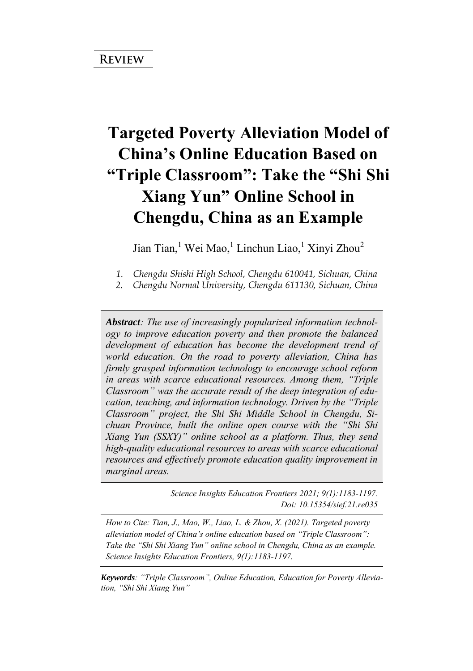# **Targeted Poverty Alleviation Model of China's Online Education Based on "Triple Classroom": Take the "Shi Shi Xiang Yun" Online School in Chengdu, China as an Example**

Jian Tian,<sup>1</sup> Wei Mao,<sup>1</sup> Linchun Liao,<sup>1</sup> Xinyi Zhou<sup>2</sup>

*2. Chengdu Normal University, Chengdu 611130, Sichuan, China* 

*Abstract: The use of increasingly popularized information technology to improve education poverty and then promote the balanced*  development of education has become the development trend of *world education. On the road to poverty alleviation, China has firmly grasped information technology to encourage school reform in areas with scarce educational resources. Among them, "Triple Classroom" was the accurate result of the deep integration of education, teaching, and information technology. Driven by the "Triple Classroom" project, the Shi Shi Middle School in Chengdu, Sichuan Province, built the online open course with the "Shi Shi Xiang Yun (SSXY)" online school as a platform. Thus, they send high-quality educational resources to areas with scarce educational resources and effectively promote education quality improvement in marginal areas.*

> *Science Insights Education Frontiers 2021; 9(1):1183-1197. Doi: 10.15354/sief.21.re035*

*How to Cite: Tian, J., Mao, W., Liao, L. & Zhou, X. (2021). Targeted poverty alleviation model of China's online education based on "Triple Classroom": Take the "Shi Shi Xiang Yun" online school in Chengdu, China as an example. Science Insights Education Frontiers, 9(1):1183-1197.*

*Keywords: "Triple Classroom", Online Education, Education for Poverty Alleviation, "Shi Shi Xiang Yun"* 

*<sup>1.</sup> Chengdu Shishi High School, Chengdu 610041, Sichuan, China*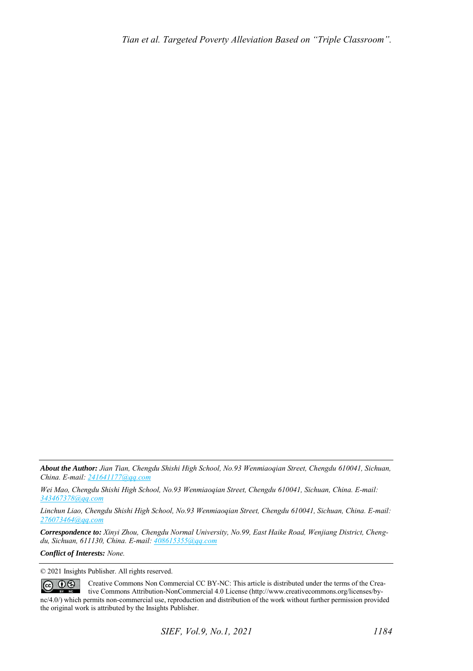*About the Author: Jian Tian, Chengdu Shishi High School, No.93 Wenmiaoqian Street, Chengdu 610041, Sichuan, China. E-mail[: 241641177@qq.com](mailto:241641177@qq.com)*

*Wei Mao, Chengdu Shishi High School, No.93 Wenmiaoqian Street, Chengdu 610041, Sichuan, China. E-mail: [343467378@qq.com](mailto:343467378@qq.com)* 

*Linchun Liao, Chengdu Shishi High School, No.93 Wenmiaoqian Street, Chengdu 610041, Sichuan, China. E-mail: [276073464@qq.com](mailto:276073464@qq.com)* 

*Correspondence to: Xinyi Zhou, Chengdu Normal University, No.99, East Haike Road, Wenjiang District, Chengdu, Sichuan, 611130, China. E-mail[: 408615355@qq.com](mailto:408615355@qq.com)*

*Conflict of Interests: None.* 

© 2021 Insights Publisher. All rights reserved.

 $\circledcirc$   $\circledcirc$ Creative Commons Non Commercial CC BY-NC: This article is distributed under the terms of the Creative Commons Attribution-NonCommercial 4.0 License (http://www.creativecommons.org/licenses/bync/4.0/) which permits non-commercial use, reproduction and distribution of the work without further permission provided the original work is attributed by the Insights Publisher.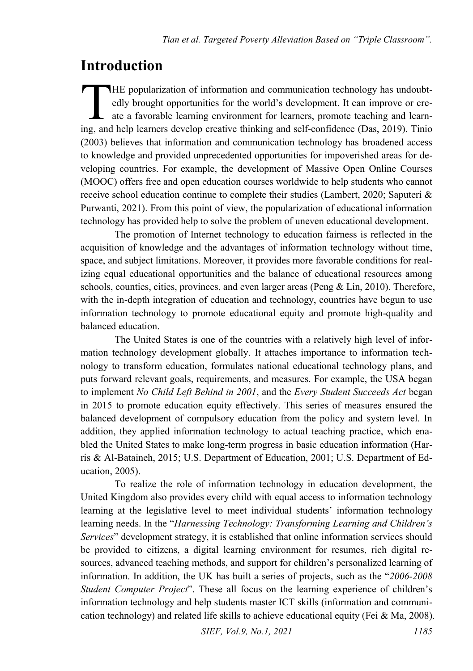#### **Introduction**

HE popularization of information and communication technology has undoubtedly brought opportunities for the world's development. It can improve or create a favorable learning environment for learners, promote teaching and learn-IHE popularization of information and communication technology has undoubtedly brought opportunities for the world's development. It can improve or create a favorable learning environment for learners, promote teaching and (2003) believes that information and communication technology has broadened access to knowledge and provided unprecedented opportunities for impoverished areas for developing countries. For example, the development of Massive Open Online Courses (MOOC) offers free and open education courses worldwide to help students who cannot receive school education continue to complete their studies (Lambert, 2020; Saputeri & Purwanti, 2021). From this point of view, the popularization of educational information technology has provided help to solve the problem of uneven educational development.

The promotion of Internet technology to education fairness is reflected in the acquisition of knowledge and the advantages of information technology without time, space, and subject limitations. Moreover, it provides more favorable conditions for realizing equal educational opportunities and the balance of educational resources among schools, counties, cities, provinces, and even larger areas (Peng  $\&$  Lin, 2010). Therefore, with the in-depth integration of education and technology, countries have begun to use information technology to promote educational equity and promote high-quality and balanced education.

The United States is one of the countries with a relatively high level of information technology development globally. It attaches importance to information technology to transform education, formulates national educational technology plans, and puts forward relevant goals, requirements, and measures. For example, the USA began to implement *No Child Left Behind in 2001*, and the *Every Student Succeeds Act* began in 2015 to promote education equity effectively. This series of measures ensured the balanced development of compulsory education from the policy and system level. In addition, they applied information technology to actual teaching practice, which enabled the United States to make long-term progress in basic education information (Harris & Al-Bataineh, 2015; U.S. Department of Education, 2001; U.S. Department of Education, 2005).

To realize the role of information technology in education development, the United Kingdom also provides every child with equal access to information technology learning at the legislative level to meet individual students' information technology learning needs. In the "*Harnessing Technology: Transforming Learning and Children's Services*" development strategy, it is established that online information services should be provided to citizens, a digital learning environment for resumes, rich digital resources, advanced teaching methods, and support for children's personalized learning of information. In addition, the UK has built a series of projects, such as the "*2006-2008 Student Computer Project*". These all focus on the learning experience of children's information technology and help students master ICT skills (information and communication technology) and related life skills to achieve educational equity (Fei & Ma, 2008).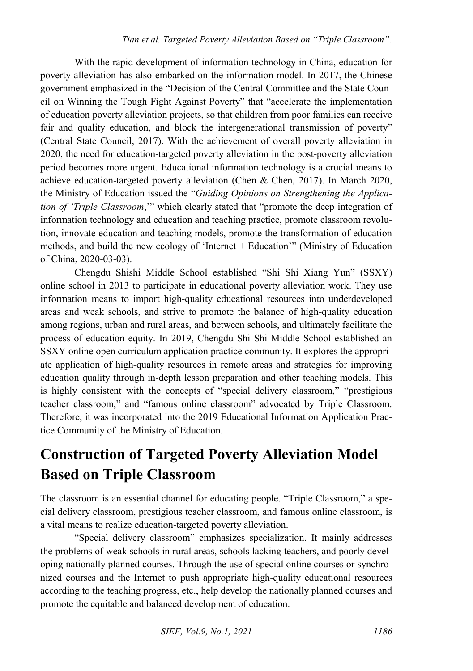With the rapid development of information technology in China, education for poverty alleviation has also embarked on the information model. In 2017, the Chinese government emphasized in the "Decision of the Central Committee and the State Council on Winning the Tough Fight Against Poverty" that "accelerate the implementation of education poverty alleviation projects, so that children from poor families can receive fair and quality education, and block the intergenerational transmission of poverty" (Central State Council, 2017). With the achievement of overall poverty alleviation in 2020, the need for education-targeted poverty alleviation in the post-poverty alleviation period becomes more urgent. Educational information technology is a crucial means to achieve education-targeted poverty alleviation (Chen & Chen, 2017). In March 2020, the Ministry of Education issued the "*Guiding Opinions on Strengthening the Application of 'Triple Classroom*,'" which clearly stated that "promote the deep integration of information technology and education and teaching practice, promote classroom revolution, innovate education and teaching models, promote the transformation of education methods, and build the new ecology of 'Internet + Education'" (Ministry of Education of China, 2020-03-03).

Chengdu Shishi Middle School established "Shi Shi Xiang Yun" (SSXY) online school in 2013 to participate in educational poverty alleviation work. They use information means to import high-quality educational resources into underdeveloped areas and weak schools, and strive to promote the balance of high-quality education among regions, urban and rural areas, and between schools, and ultimately facilitate the process of education equity. In 2019, Chengdu Shi Shi Middle School established an SSXY online open curriculum application practice community. It explores the appropriate application of high-quality resources in remote areas and strategies for improving education quality through in-depth lesson preparation and other teaching models. This is highly consistent with the concepts of "special delivery classroom," "prestigious teacher classroom," and "famous online classroom" advocated by Triple Classroom. Therefore, it was incorporated into the 2019 Educational Information Application Practice Community of the Ministry of Education.

## **Construction of Targeted Poverty Alleviation Model Based on Triple Classroom**

The classroom is an essential channel for educating people. "Triple Classroom," a special delivery classroom, prestigious teacher classroom, and famous online classroom, is a vital means to realize education-targeted poverty alleviation.

"Special delivery classroom" emphasizes specialization. It mainly addresses the problems of weak schools in rural areas, schools lacking teachers, and poorly developing nationally planned courses. Through the use of special online courses or synchronized courses and the Internet to push appropriate high-quality educational resources according to the teaching progress, etc., help develop the nationally planned courses and promote the equitable and balanced development of education.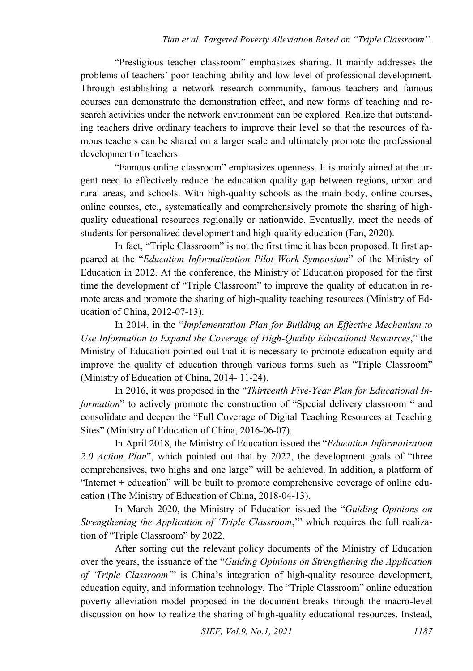"Prestigious teacher classroom" emphasizes sharing. It mainly addresses the problems of teachers' poor teaching ability and low level of professional development. Through establishing a network research community, famous teachers and famous courses can demonstrate the demonstration effect, and new forms of teaching and research activities under the network environment can be explored. Realize that outstanding teachers drive ordinary teachers to improve their level so that the resources of famous teachers can be shared on a larger scale and ultimately promote the professional development of teachers.

"Famous online classroom" emphasizes openness. It is mainly aimed at the urgent need to effectively reduce the education quality gap between regions, urban and rural areas, and schools. With high-quality schools as the main body, online courses, online courses, etc., systematically and comprehensively promote the sharing of highquality educational resources regionally or nationwide. Eventually, meet the needs of students for personalized development and high-quality education (Fan, 2020).

In fact, "Triple Classroom" is not the first time it has been proposed. It first appeared at the "*Education Informatization Pilot Work Symposium*" of the Ministry of Education in 2012. At the conference, the Ministry of Education proposed for the first time the development of "Triple Classroom" to improve the quality of education in remote areas and promote the sharing of high-quality teaching resources (Ministry of Education of China, 2012-07-13).

In 2014, in the "*Implementation Plan for Building an Effective Mechanism to Use Information to Expand the Coverage of High-Quality Educational Resources*," the Ministry of Education pointed out that it is necessary to promote education equity and improve the quality of education through various forms such as "Triple Classroom" (Ministry of Education of China, 2014- 11-24).

In 2016, it was proposed in the "*Thirteenth Five-Year Plan for Educational Information*" to actively promote the construction of "Special delivery classroom " and consolidate and deepen the "Full Coverage of Digital Teaching Resources at Teaching Sites" (Ministry of Education of China, 2016-06-07).

In April 2018, the Ministry of Education issued the "*Education Informatization 2.0 Action Plan*", which pointed out that by 2022, the development goals of "three comprehensives, two highs and one large" will be achieved. In addition, a platform of "Internet + education" will be built to promote comprehensive coverage of online education (The Ministry of Education of China, 2018-04-13).

In March 2020, the Ministry of Education issued the "*Guiding Opinions on Strengthening the Application of 'Triple Classroom*,'" which requires the full realization of "Triple Classroom" by 2022.

After sorting out the relevant policy documents of the Ministry of Education over the years, the issuance of the "*Guiding Opinions on Strengthening the Application of 'Triple Classroom'*" is China's integration of high-quality resource development, education equity, and information technology. The "Triple Classroom" online education poverty alleviation model proposed in the document breaks through the macro-level discussion on how to realize the sharing of high-quality educational resources. Instead,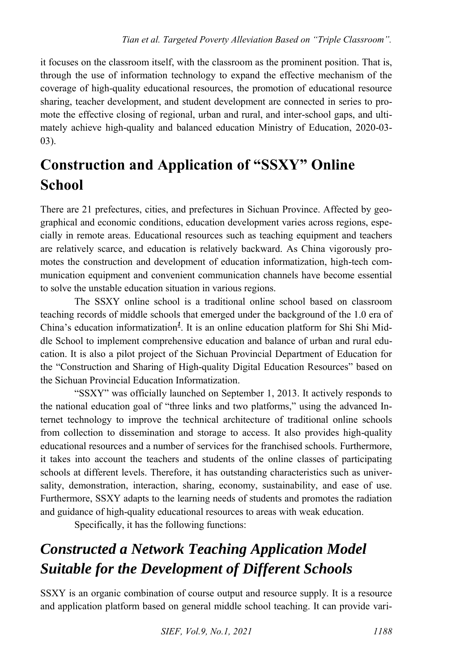it focuses on the classroom itself, with the classroom as the prominent position. That is, through the use of information technology to expand the effective mechanism of the coverage of high-quality educational resources, the promotion of educational resource sharing, teacher development, and student development are connected in series to promote the effective closing of regional, urban and rural, and inter-school gaps, and ultimately achieve high-quality and balanced education Ministry of Education, 2020-03- 03).

## **Construction and Application of "SSXY" Online School**

There are 21 prefectures, cities, and prefectures in Sichuan Province. Affected by geographical and economic conditions, education development varies across regions, especially in remote areas. Educational resources such as teaching equipment and teachers are relatively scarce, and education is relatively backward. As China vigorously promotes the construction and development of education informatization, high-tech communication equipment and convenient communication channels have become essential to solve the unstable education situation in various regions.

The SSXY online school is a traditional online school based on classroom teaching records of middle schools that emerged under the background of the 1.0 era of China's education informatizatio[n](#page-12-0)*<sup>1</sup>* . It is an online education platform for Shi Shi Middle School to implement comprehensive education and balance of urban and rural education. It is also a pilot project of the Sichuan Provincial Department of Education for the "Construction and Sharing of High-quality Digital Education Resources" based on the Sichuan Provincial Education Informatization.

"SSXY" was officially launched on September 1, 2013. It actively responds to the national education goal of "three links and two platforms," using the advanced Internet technology to improve the technical architecture of traditional online schools from collection to dissemination and storage to access. It also provides high-quality educational resources and a number of services for the franchised schools. Furthermore, it takes into account the teachers and students of the online classes of participating schools at different levels. Therefore, it has outstanding characteristics such as universality, demonstration, interaction, sharing, economy, sustainability, and ease of use. Furthermore, SSXY adapts to the learning needs of students and promotes the radiation and guidance of high-quality educational resources to areas with weak education.

Specifically, it has the following functions:

## *Constructed a Network Teaching Application Model Suitable for the Development of Different Schools*

SSXY is an organic combination of course output and resource supply. It is a resource and application platform based on general middle school teaching. It can provide vari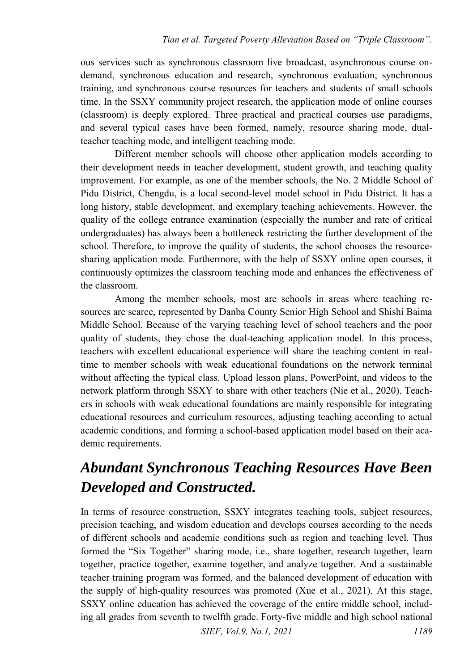ous services such as synchronous classroom live broadcast, asynchronous course ondemand, synchronous education and research, synchronous evaluation, synchronous training, and synchronous course resources for teachers and students of small schools time. In the SSXY community project research, the application mode of online courses (classroom) is deeply explored. Three practical and practical courses use paradigms, and several typical cases have been formed, namely, resource sharing mode, dualteacher teaching mode, and intelligent teaching mode.

Different member schools will choose other application models according to their development needs in teacher development, student growth, and teaching quality improvement. For example, as one of the member schools, the No. 2 Middle School of Pidu District, Chengdu, is a local second-level model school in Pidu District. It has a long history, stable development, and exemplary teaching achievements. However, the quality of the college entrance examination (especially the number and rate of critical undergraduates) has always been a bottleneck restricting the further development of the school. Therefore, to improve the quality of students, the school chooses the resourcesharing application mode. Furthermore, with the help of SSXY online open courses, it continuously optimizes the classroom teaching mode and enhances the effectiveness of the classroom.

Among the member schools, most are schools in areas where teaching resources are scarce, represented by Danba County Senior High School and Shishi Baima Middle School. Because of the varying teaching level of school teachers and the poor quality of students, they chose the dual-teaching application model. In this process, teachers with excellent educational experience will share the teaching content in realtime to member schools with weak educational foundations on the network terminal without affecting the typical class. Upload lesson plans, PowerPoint, and videos to the network platform through SSXY to share with other teachers (Nie et al., 2020). Teachers in schools with weak educational foundations are mainly responsible for integrating educational resources and curriculum resources, adjusting teaching according to actual academic conditions, and forming a school-based application model based on their academic requirements.

#### *Abundant Synchronous Teaching Resources Have Been Developed and Constructed.*

In terms of resource construction, SSXY integrates teaching tools, subject resources, precision teaching, and wisdom education and develops courses according to the needs of different schools and academic conditions such as region and teaching level. Thus formed the "Six Together" sharing mode, i.e., share together, research together, learn together, practice together, examine together, and analyze together. And a sustainable teacher training program was formed, and the balanced development of education with the supply of high-quality resources was promoted (Xue et al., 2021). At this stage, SSXY online education has achieved the coverage of the entire middle school, including all grades from seventh to twelfth grade. Forty-five middle and high school national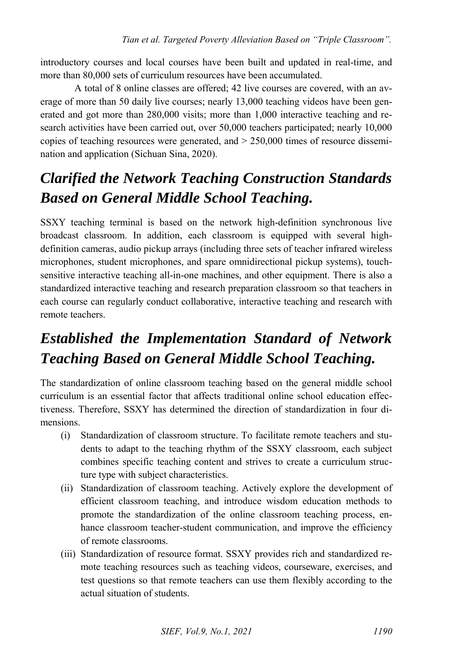introductory courses and local courses have been built and updated in real-time, and more than 80,000 sets of curriculum resources have been accumulated.

A total of 8 online classes are offered; 42 live courses are covered, with an average of more than 50 daily live courses; nearly 13,000 teaching videos have been generated and got more than 280,000 visits; more than 1,000 interactive teaching and research activities have been carried out, over 50,000 teachers participated; nearly 10,000 copies of teaching resources were generated, and  $> 250,000$  times of resource dissemination and application (Sichuan Sina, 2020).

### *Clarified the Network Teaching Construction Standards Based on General Middle School Teaching.*

SSXY teaching terminal is based on the network high-definition synchronous live broadcast classroom. In addition, each classroom is equipped with several highdefinition cameras, audio pickup arrays (including three sets of teacher infrared wireless microphones, student microphones, and spare omnidirectional pickup systems), touchsensitive interactive teaching all-in-one machines, and other equipment. There is also a standardized interactive teaching and research preparation classroom so that teachers in each course can regularly conduct collaborative, interactive teaching and research with remote teachers.

## *Established the Implementation Standard of Network Teaching Based on General Middle School Teaching.*

The standardization of online classroom teaching based on the general middle school curriculum is an essential factor that affects traditional online school education effectiveness. Therefore, SSXY has determined the direction of standardization in four dimensions.

- (i) Standardization of classroom structure. To facilitate remote teachers and students to adapt to the teaching rhythm of the SSXY classroom, each subject combines specific teaching content and strives to create a curriculum structure type with subject characteristics.
- (ii) Standardization of classroom teaching. Actively explore the development of efficient classroom teaching, and introduce wisdom education methods to promote the standardization of the online classroom teaching process, enhance classroom teacher-student communication, and improve the efficiency of remote classrooms.
- (iii) Standardization of resource format. SSXY provides rich and standardized remote teaching resources such as teaching videos, courseware, exercises, and test questions so that remote teachers can use them flexibly according to the actual situation of students.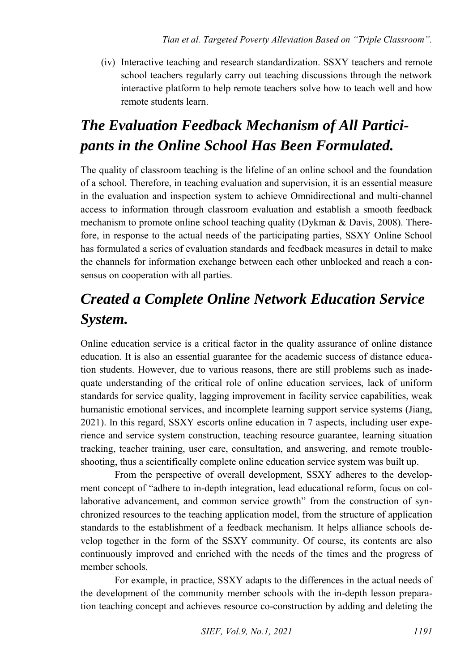(iv) Interactive teaching and research standardization. SSXY teachers and remote school teachers regularly carry out teaching discussions through the network interactive platform to help remote teachers solve how to teach well and how remote students learn.

## *The Evaluation Feedback Mechanism of All Participants in the Online School Has Been Formulated.*

The quality of classroom teaching is the lifeline of an online school and the foundation of a school. Therefore, in teaching evaluation and supervision, it is an essential measure in the evaluation and inspection system to achieve Omnidirectional and multi-channel access to information through classroom evaluation and establish a smooth feedback mechanism to promote online school teaching quality (Dykman & Davis, 2008). Therefore, in response to the actual needs of the participating parties, SSXY Online School has formulated a series of evaluation standards and feedback measures in detail to make the channels for information exchange between each other unblocked and reach a consensus on cooperation with all parties.

### *Created a Complete Online Network Education Service System.*

Online education service is a critical factor in the quality assurance of online distance education. It is also an essential guarantee for the academic success of distance education students. However, due to various reasons, there are still problems such as inadequate understanding of the critical role of online education services, lack of uniform standards for service quality, lagging improvement in facility service capabilities, weak humanistic emotional services, and incomplete learning support service systems (Jiang, 2021). In this regard, SSXY escorts online education in 7 aspects, including user experience and service system construction, teaching resource guarantee, learning situation tracking, teacher training, user care, consultation, and answering, and remote troubleshooting, thus a scientifically complete online education service system was built up.

From the perspective of overall development, SSXY adheres to the development concept of "adhere to in-depth integration, lead educational reform, focus on collaborative advancement, and common service growth" from the construction of synchronized resources to the teaching application model, from the structure of application standards to the establishment of a feedback mechanism. It helps alliance schools develop together in the form of the SSXY community. Of course, its contents are also continuously improved and enriched with the needs of the times and the progress of member schools.

For example, in practice, SSXY adapts to the differences in the actual needs of the development of the community member schools with the in-depth lesson preparation teaching concept and achieves resource co-construction by adding and deleting the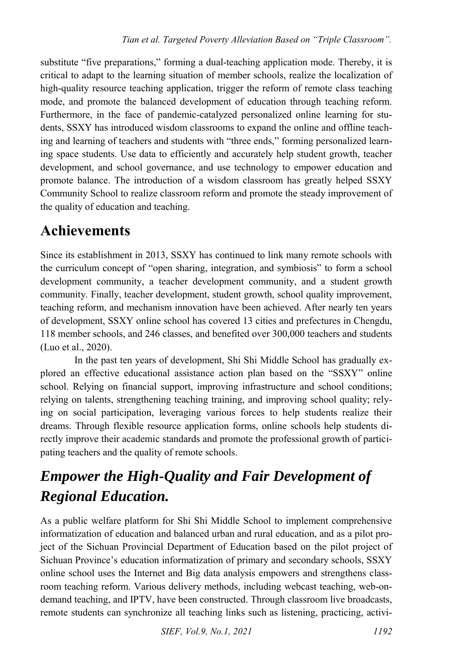substitute "five preparations," forming a dual-teaching application mode. Thereby, it is critical to adapt to the learning situation of member schools, realize the localization of high-quality resource teaching application, trigger the reform of remote class teaching mode, and promote the balanced development of education through teaching reform. Furthermore, in the face of pandemic-catalyzed personalized online learning for students, SSXY has introduced wisdom classrooms to expand the online and offline teaching and learning of teachers and students with "three ends," forming personalized learning space students. Use data to efficiently and accurately help student growth, teacher development, and school governance, and use technology to empower education and promote balance. The introduction of a wisdom classroom has greatly helped SSXY Community School to realize classroom reform and promote the steady improvement of the quality of education and teaching.

#### **Achievements**

Since its establishment in 2013, SSXY has continued to link many remote schools with the curriculum concept of "open sharing, integration, and symbiosis" to form a school development community, a teacher development community, and a student growth community. Finally, teacher development, student growth, school quality improvement, teaching reform, and mechanism innovation have been achieved. After nearly ten years of development, SSXY online school has covered 13 cities and prefectures in Chengdu, 118 member schools, and 246 classes, and benefited over 300,000 teachers and students (Luo et al., 2020).

In the past ten years of development, Shi Shi Middle School has gradually explored an effective educational assistance action plan based on the "SSXY" online school. Relying on financial support, improving infrastructure and school conditions; relying on talents, strengthening teaching training, and improving school quality; relying on social participation, leveraging various forces to help students realize their dreams. Through flexible resource application forms, online schools help students directly improve their academic standards and promote the professional growth of participating teachers and the quality of remote schools.

## *Empower the High-Quality and Fair Development of Regional Education.*

As a public welfare platform for Shi Shi Middle School to implement comprehensive informatization of education and balanced urban and rural education, and as a pilot project of the Sichuan Provincial Department of Education based on the pilot project of Sichuan Province's education informatization of primary and secondary schools, SSXY online school uses the Internet and Big data analysis empowers and strengthens classroom teaching reform. Various delivery methods, including webcast teaching, web-ondemand teaching, and IPTV, have been constructed. Through classroom live broadcasts, remote students can synchronize all teaching links such as listening, practicing, activi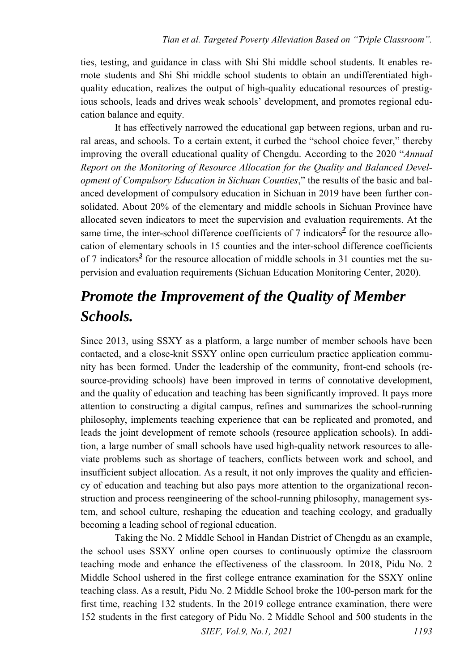ties, testing, and guidance in class with Shi Shi middle school students. It enables remote students and Shi Shi middle school students to obtain an undifferentiated highquality education, realizes the output of high-quality educational resources of prestigious schools, leads and drives weak schools' development, and promotes regional education balance and equity.

It has effectively narrowed the educational gap between regions, urban and rural areas, and schools. To a certain extent, it curbed the "school choice fever," thereby improving the overall educational quality of Chengdu. According to the 2020 "*Annual Report on the Monitoring of Resource Allocation for the Quality and Balanced Development of Compulsory Education in Sichuan Counties*," the results of the basic and balanced development of compulsory education in Sichuan in 2019 have been further consolidated. About 20% of the elementary and middle schools in Sichuan Province have allocated seven indicators to meet the supervision and evaluation requirements. At the [s](#page-12-1)ame time, the inter-school difference coefficients of 7 indicators<sup>2</sup> for the resource allocation of elementary schools in 15 counties and the inter-school difference coefficients of 7 indicator[s](#page-12-2)*<sup>3</sup>* for the resource allocation of middle schools in 31 counties met the supervision and evaluation requirements (Sichuan Education Monitoring Center, 2020).

#### *Promote the Improvement of the Quality of Member Schools.*

Since 2013, using SSXY as a platform, a large number of member schools have been contacted, and a close-knit SSXY online open curriculum practice application community has been formed. Under the leadership of the community, front-end schools (resource-providing schools) have been improved in terms of connotative development, and the quality of education and teaching has been significantly improved. It pays more attention to constructing a digital campus, refines and summarizes the school-running philosophy, implements teaching experience that can be replicated and promoted, and leads the joint development of remote schools (resource application schools). In addition, a large number of small schools have used high-quality network resources to alleviate problems such as shortage of teachers, conflicts between work and school, and insufficient subject allocation. As a result, it not only improves the quality and efficiency of education and teaching but also pays more attention to the organizational reconstruction and process reengineering of the school-running philosophy, management system, and school culture, reshaping the education and teaching ecology, and gradually becoming a leading school of regional education.

Taking the No. 2 Middle School in Handan District of Chengdu as an example, the school uses SSXY online open courses to continuously optimize the classroom teaching mode and enhance the effectiveness of the classroom. In 2018, Pidu No. 2 Middle School ushered in the first college entrance examination for the SSXY online teaching class. As a result, Pidu No. 2 Middle School broke the 100-person mark for the first time, reaching 132 students. In the 2019 college entrance examination, there were 152 students in the first category of Pidu No. 2 Middle School and 500 students in the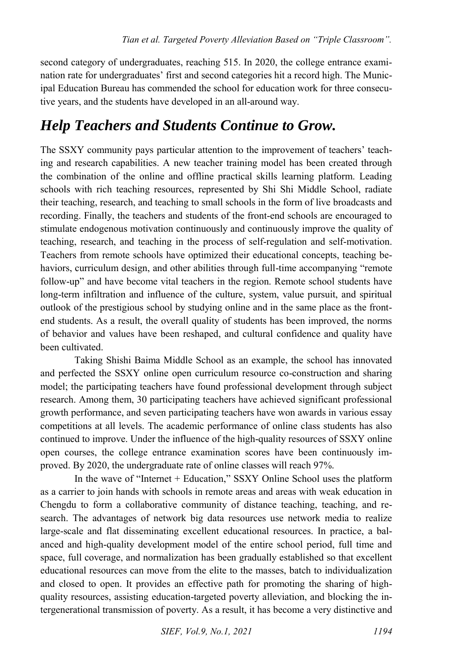second category of undergraduates, reaching 515. In 2020, the college entrance examination rate for undergraduates' first and second categories hit a record high. The Municipal Education Bureau has commended the school for education work for three consecutive years, and the students have developed in an all-around way.

#### *Help Teachers and Students Continue to Grow.*

The SSXY community pays particular attention to the improvement of teachers' teaching and research capabilities. A new teacher training model has been created through the combination of the online and offline practical skills learning platform. Leading schools with rich teaching resources, represented by Shi Shi Middle School, radiate their teaching, research, and teaching to small schools in the form of live broadcasts and recording. Finally, the teachers and students of the front-end schools are encouraged to stimulate endogenous motivation continuously and continuously improve the quality of teaching, research, and teaching in the process of self-regulation and self-motivation. Teachers from remote schools have optimized their educational concepts, teaching behaviors, curriculum design, and other abilities through full-time accompanying "remote follow-up" and have become vital teachers in the region. Remote school students have long-term infiltration and influence of the culture, system, value pursuit, and spiritual outlook of the prestigious school by studying online and in the same place as the frontend students. As a result, the overall quality of students has been improved, the norms of behavior and values have been reshaped, and cultural confidence and quality have been cultivated.

Taking Shishi Baima Middle School as an example, the school has innovated and perfected the SSXY online open curriculum resource co-construction and sharing model; the participating teachers have found professional development through subject research. Among them, 30 participating teachers have achieved significant professional growth performance, and seven participating teachers have won awards in various essay competitions at all levels. The academic performance of online class students has also continued to improve. Under the influence of the high-quality resources of SSXY online open courses, the college entrance examination scores have been continuously improved. By 2020, the undergraduate rate of online classes will reach 97%.

In the wave of "Internet + Education," SSXY Online School uses the platform as a carrier to join hands with schools in remote areas and areas with weak education in Chengdu to form a collaborative community of distance teaching, teaching, and research. The advantages of network big data resources use network media to realize large-scale and flat disseminating excellent educational resources. In practice, a balanced and high-quality development model of the entire school period, full time and space, full coverage, and normalization has been gradually established so that excellent educational resources can move from the elite to the masses, batch to individualization and closed to open. It provides an effective path for promoting the sharing of highquality resources, assisting education-targeted poverty alleviation, and blocking the intergenerational transmission of poverty. As a result, it has become a very distinctive and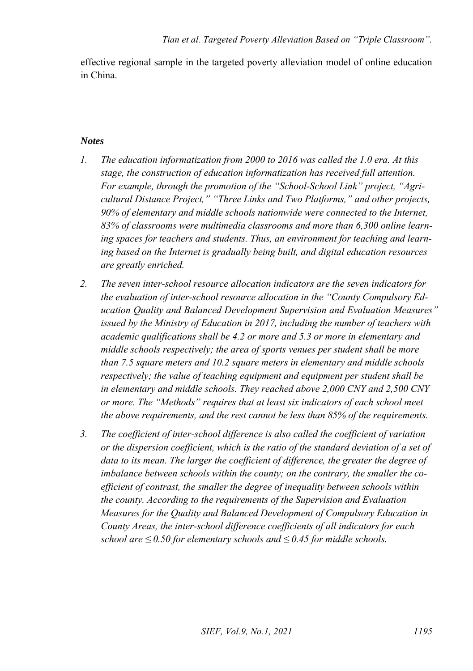effective regional sample in the targeted poverty alleviation model of online education in China.

#### *Notes*

- <span id="page-12-0"></span>*1. The education informatization from 2000 to 2016 was called the 1.0 era. At this stage, the construction of education informatization has received full attention. For example, through the promotion of the "School-School Link" project, "Agricultural Distance Project," "Three Links and Two Platforms," and other projects, 90% of elementary and middle schools nationwide were connected to the Internet, 83% of classrooms were multimedia classrooms and more than 6,300 online learning spaces for teachers and students. Thus, an environment for teaching and learning based on the Internet is gradually being built, and digital education resources are greatly enriched.*
- <span id="page-12-1"></span>*2. The seven inter-school resource allocation indicators are the seven indicators for the evaluation of inter-school resource allocation in the "County Compulsory Education Quality and Balanced Development Supervision and Evaluation Measures" issued by the Ministry of Education in 2017, including the number of teachers with academic qualifications shall be 4.2 or more and 5.3 or more in elementary and middle schools respectively; the area of sports venues per student shall be more than 7.5 square meters and 10.2 square meters in elementary and middle schools respectively; the value of teaching equipment and equipment per student shall be in elementary and middle schools. They reached above 2,000 CNY and 2,500 CNY or more. The "Methods" requires that at least six indicators of each school meet the above requirements, and the rest cannot be less than 85% of the requirements.*
- <span id="page-12-2"></span>*3. The coefficient of inter-school difference is also called the coefficient of variation or the dispersion coefficient, which is the ratio of the standard deviation of a set of data to its mean. The larger the coefficient of difference, the greater the degree of imbalance between schools within the county; on the contrary, the smaller the coefficient of contrast, the smaller the degree of inequality between schools within the county. According to the requirements of the Supervision and Evaluation Measures for the Quality and Balanced Development of Compulsory Education in County Areas, the inter-school difference coefficients of all indicators for each school are ≤ 0.50 for elementary schools and ≤ 0.45 for middle schools.*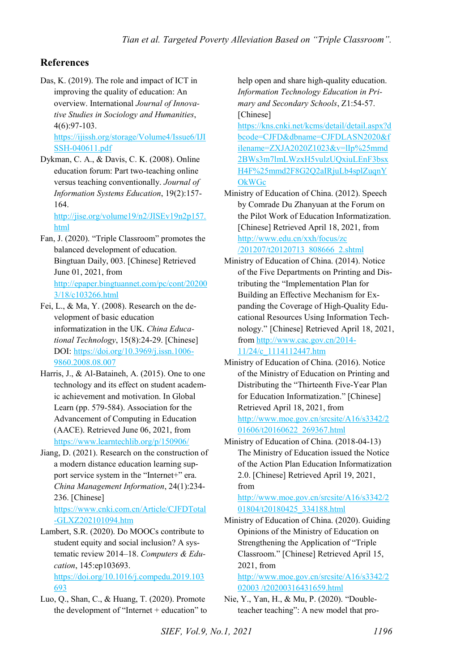#### **References**

Das, K. (2019). The role and impact of ICT in improving the quality of education: An overview. International *Journal of Innovative Studies in Sociology and Humanities*, 4(6):97-103.

[https://ijissh.org/storage/Volume4/Issue6/IJI](https://ijissh.org/storage/Volume4/Issue6/IJISSH-040611.pdf) [SSH-040611.pdf](https://ijissh.org/storage/Volume4/Issue6/IJISSH-040611.pdf) 

Dykman, C. A., & Davis, C. K. (2008). Online education forum: Part two-teaching online versus teaching conventionally. *Journal of Information Systems Education*, 19(2):157- 164.

[http://jise.org/volume19/n2/JISEv19n2p157.](http://jise.org/volume19/n2/JISEv19n2p157.html) [html](http://jise.org/volume19/n2/JISEv19n2p157.html) 

- Fan, J. (2020). "Triple Classroom" promotes the balanced development of education. Bingtuan Daily, 003. [Chinese] Retrieved June 01, 2021, from [http://epaper.bingtuannet.com/pc/cont/20200](http://epaper.bingtuannet.com/pc/cont/202003/18/c103266.html) [3/18/c103266.html](http://epaper.bingtuannet.com/pc/cont/202003/18/c103266.html)
- Fei, L., & Ma, Y. (2008). Research on the development of basic education informatization in the UK. *China Educational Technology*, 15(8):24-29. [Chinese] DOI: [https://doi.org/10.3969/j.issn.1006-](https://doi.org/10.3969/j.issn.1006-9860.2008.08.007) [9860.2008.08.007](https://doi.org/10.3969/j.issn.1006-9860.2008.08.007)
- Harris, J., & Al-Bataineh, A. (2015). One to one technology and its effect on student academic achievement and motivation. In Global Learn (pp. 579-584). Association for the Advancement of Computing in Education (AACE). Retrieved June 06, 2021, from <https://www.learntechlib.org/p/150906/>
- Jiang, D. (2021). Research on the construction of a modern distance education learning support service system in the "Internet+" era. *China Management Information*, 24(1):234- 236. [Chinese]

[https://www.cnki.com.cn/Article/CJFDTotal](https://www.cnki.com.cn/Article/CJFDTotal-GLXZ202101094.htm) [-GLXZ202101094.htm](https://www.cnki.com.cn/Article/CJFDTotal-GLXZ202101094.htm) 

Lambert, S.R. (2020). Do MOOCs contribute to student equity and social inclusion? A systematic review 2014–18. *Computers & Education*, 145:ep103693. [https://doi.org/10.1016/j.compedu.2019.103](https://doi.org/10.1016/j.compedu.2019.103693)

[693](https://doi.org/10.1016/j.compedu.2019.103693) 

Luo, Q., Shan, C., & Huang, T. (2020). Promote the development of "Internet + education" to help open and share high-quality education. *Information Technology Education in Primary and Secondary Schools*, Z1:54-57. [Chinese]

[https://kns.cnki.net/kcms/detail/detail.aspx?d](https://kns.cnki.net/kcms/detail/detail.aspx?dbcode=CJFD&dbname=CJFDLASN2020&filename=ZXJA2020Z1023&v=lIp%25mmd2BWs3m7lmLWzxH5vulzUQxiuLEnF3bsxH4F%25mmd2F8G2Q2aIRjuLb4splZuqnYOkWGc) [bcode=CJFD&dbname=CJFDLASN2020&f](https://kns.cnki.net/kcms/detail/detail.aspx?dbcode=CJFD&dbname=CJFDLASN2020&filename=ZXJA2020Z1023&v=lIp%25mmd2BWs3m7lmLWzxH5vulzUQxiuLEnF3bsxH4F%25mmd2F8G2Q2aIRjuLb4splZuqnYOkWGc) [ilename=ZXJA2020Z1023&v=lIp%25mmd](https://kns.cnki.net/kcms/detail/detail.aspx?dbcode=CJFD&dbname=CJFDLASN2020&filename=ZXJA2020Z1023&v=lIp%25mmd2BWs3m7lmLWzxH5vulzUQxiuLEnF3bsxH4F%25mmd2F8G2Q2aIRjuLb4splZuqnYOkWGc) [2BWs3m7lmLWzxH5vulzUQxiuLEnF3bsx](https://kns.cnki.net/kcms/detail/detail.aspx?dbcode=CJFD&dbname=CJFDLASN2020&filename=ZXJA2020Z1023&v=lIp%25mmd2BWs3m7lmLWzxH5vulzUQxiuLEnF3bsxH4F%25mmd2F8G2Q2aIRjuLb4splZuqnYOkWGc) [H4F%25mmd2F8G2Q2aIRjuLb4splZuqnY](https://kns.cnki.net/kcms/detail/detail.aspx?dbcode=CJFD&dbname=CJFDLASN2020&filename=ZXJA2020Z1023&v=lIp%25mmd2BWs3m7lmLWzxH5vulzUQxiuLEnF3bsxH4F%25mmd2F8G2Q2aIRjuLb4splZuqnYOkWGc) [OkWGc](https://kns.cnki.net/kcms/detail/detail.aspx?dbcode=CJFD&dbname=CJFDLASN2020&filename=ZXJA2020Z1023&v=lIp%25mmd2BWs3m7lmLWzxH5vulzUQxiuLEnF3bsxH4F%25mmd2F8G2Q2aIRjuLb4splZuqnYOkWGc)

- Ministry of Education of China. (2012). Speech by Comrade Du Zhanyuan at the Forum on the Pilot Work of Education Informatization. [Chinese] Retrieved April 18, 2021, from [http://www.edu.cn/xxh/focus/zc](http://www.edu.cn/xxh/focus/zc%20/201207/t20120713_808666_2.shtml)  [/201207/t20120713\\_808666\\_2.shtml](http://www.edu.cn/xxh/focus/zc%20/201207/t20120713_808666_2.shtml)
- Ministry of Education of China. (2014). Notice of the Five Departments on Printing and Distributing the "Implementation Plan for Building an Effective Mechanism for Expanding the Coverage of High-Quality Educational Resources Using Information Technology." [Chinese] Retrieved April 18, 2021, from [http://www.cac.gov.cn/2014-](http://www.cac.gov.cn/2014-11/24/c_1114112447.htm) [11/24/c\\_1114112447.htm](http://www.cac.gov.cn/2014-11/24/c_1114112447.htm)
- Ministry of Education of China. (2016). Notice of the Ministry of Education on Printing and Distributing the "Thirteenth Five-Year Plan for Education Informatization." [Chinese] Retrieved April 18, 2021, from [http://www.moe.gov.cn/srcsite/A16/s3342/2](http://www.moe.gov.cn/srcsite/A16/s3342/201606/t20160622_269367.html) [01606/t20160622\\_269367.html](http://www.moe.gov.cn/srcsite/A16/s3342/201606/t20160622_269367.html)
- Ministry of Education of China. (2018-04-13) The Ministry of Education issued the Notice of the Action Plan Education Informatization 2.0. [Chinese] Retrieved April 19, 2021, from

[http://www.moe.gov.cn/srcsite/A16/s3342/2](http://www.moe.gov.cn/srcsite/A16/s3342/201804/t20180425_334188.html) [01804/t20180425\\_334188.html](http://www.moe.gov.cn/srcsite/A16/s3342/201804/t20180425_334188.html)

Ministry of Education of China. (2020). Guiding Opinions of the Ministry of Education on Strengthening the Application of "Triple Classroom." [Chinese] Retrieved April 15, 2021, from

[http://www.moe.gov.cn/srcsite/A16/s3342/2](http://www.moe.gov.cn/srcsite/A16/s3342/202003%20/t20200316431659.html) [02003 /t20200316431659.html](http://www.moe.gov.cn/srcsite/A16/s3342/202003%20/t20200316431659.html) 

Nie, Y., Yan, H., & Mu, P. (2020). "Doubleteacher teaching": A new model that pro